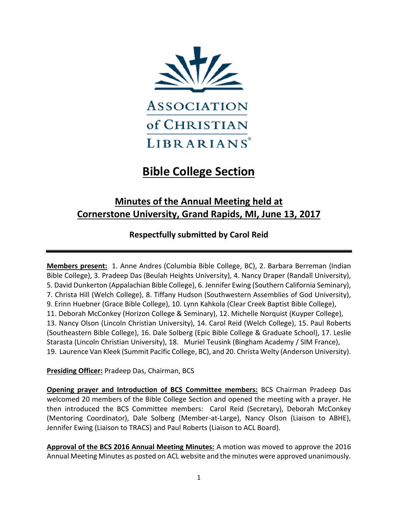

## **Bible College Section**

## **Minutes of the Annual Meeting held at Cornerstone University, Grand Rapids, MI, June 13, 2017**

**Respectfully submitted by Carol Reid**

**Members present:** 1. Anne Andres (Columbia Bible College, BC), 2. Barbara Berreman (Indian Bible College), 3. Pradeep Das (Beulah Heights University), 4. Nancy Draper (Randall University), 5. David Dunkerton (Appalachian Bible College), 6. Jennifer Ewing (Southern California Seminary), 7. Christa Hill (Welch College), 8. Tiffany Hudson (Southwestern Assemblies of God University), 9. Erinn Huebner (Grace Bible College), 10. Lynn Kahkola (Clear Creek Baptist Bible College), 11. Deborah McConkey (Horizon College & Seminary), 12. Michelle Norquist (Kuyper College), 13. Nancy Olson (Lincoln Christian University), 14. Carol Reid (Welch College), 15. Paul Roberts (Southeastern Bible College), 16. Dale Solberg (Epic Bible College & Graduate School), 17. Leslie Starasta (Lincoln Christian University), 18. Muriel Teusink (Bingham Academy / SIM France), 19. Laurence Van Kleek (Summit Pacific College, BC), and 20. Christa Welty (Anderson University).

**Presiding Officer:** Pradeep Das, Chairman, BCS

**Opening prayer and Introduction of BCS Committee members:** BCS Chairman Pradeep Das welcomed 20 members of the Bible College Section and opened the meeting with a prayer. He then introduced the BCS Committee members: Carol Reid (Secretary), Deborah McConkey (Mentoring Coordinator), Dale Solberg (Member-at-Large), Nancy Olson (Liaison to ABHE), Jennifer Ewing (Liaison to TRACS) and Paul Roberts (Liaison to ACL Board).

**Approval of the BCS 2016 Annual Meeting Minutes:** A motion was moved to approve the 2016 Annual Meeting Minutes as posted on ACL website and the minutes were approved unanimously.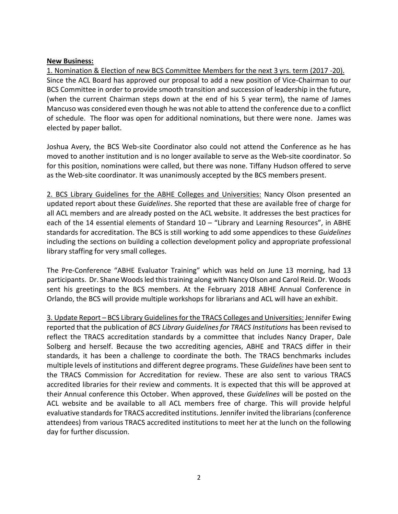## **New Business:**

1. Nomination & Election of new BCS Committee Members for the next 3 yrs. term (2017 -20). Since the ACL Board has approved our proposal to add a new position of Vice-Chairman to our BCS Committee in order to provide smooth transition and succession of leadership in the future, (when the current Chairman steps down at the end of his 5 year term), the name of James Mancuso was considered even though he was not able to attend the conference due to a conflict of schedule. The floor was open for additional nominations, but there were none. James was elected by paper ballot.

Joshua Avery, the BCS Web-site Coordinator also could not attend the Conference as he has moved to another institution and is no longer available to serve as the Web-site coordinator. So for this position, nominations were called, but there was none. Tiffany Hudson offered to serve as the Web-site coordinator. It was unanimously accepted by the BCS members present.

2. BCS Library Guidelines for the ABHE Colleges and Universities: Nancy Olson presented an updated report about these *Guidelines*. She reported that these are available free of charge for all ACL members and are already posted on the ACL website. It addresses the best practices for each of the 14 essential elements of Standard 10 - "Library and Learning Resources", in ABHE standards for accreditation. The BCS is still working to add some appendices to these *Guidelines* including the sections on building a collection development policy and appropriate professional library staffing for very small colleges.

The Pre-Conference "ABHE Evaluator Training" which was held on June 13 morning, had 13 participants. Dr. Shane Woods led this training along with Nancy Olson and Carol Reid. Dr. Woods sent his greetings to the BCS members. At the February 2018 ABHE Annual Conference in Orlando, the BCS will provide multiple workshops for librarians and ACL will have an exhibit.

3. Update Report – BCS Library Guidelines for the TRACS Colleges and Universities: Jennifer Ewing reported that the publication of *BCS Library Guidelines for TRACS Institutions* has been revised to reflect the TRACS accreditation standards by a committee that includes Nancy Draper, Dale Solberg and herself. Because the two accrediting agencies, ABHE and TRACS differ in their standards, it has been a challenge to coordinate the both. The TRACS benchmarks includes multiple levels of institutions and different degree programs. These *Guidelines* have been sent to the TRACS Commission for Accreditation for review. These are also sent to various TRACS accredited libraries for their review and comments. It is expected that this will be approved at their Annual conference this October. When approved, these *Guidelines* will be posted on the ACL website and be available to all ACL members free of charge. This will provide helpful evaluative standards for TRACS accredited institutions. Jennifer invited the librarians (conference attendees) from various TRACS accredited institutions to meet her at the lunch on the following day for further discussion.